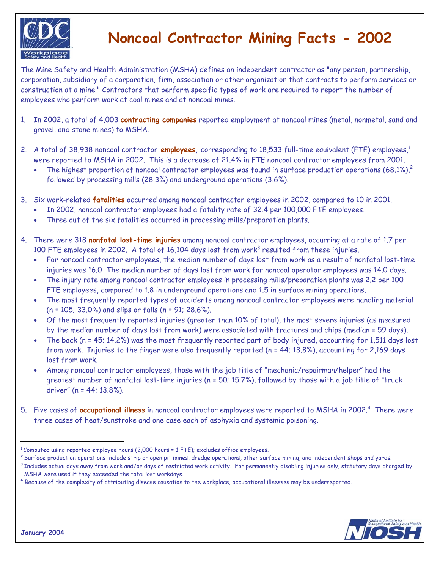

## **Noncoal Contractor Mining Facts - 2002**

The Mine Safety and Health Administration (MSHA) defines an independent contractor as "any person, partnership, corporation, subsidiary of a corporation, firm, association or other organization that contracts to perform services or construction at a mine." Contractors that perform specific types of work are required to report the number of employees who perform work at coal mines and at noncoal mines.

- 1. In 2002, a total of 4,003 **contracting companies** reported employment at noncoal mines (metal, nonmetal, sand and gravel, and stone mines) to MSHA.
- 2. A total of 38,938 noncoal contractor **employees**, corresponding to 18,533 full-time equivalent (FTE) employees,<sup>1</sup> were reported to MSHA in 2002. This is a decrease of 21.4% in FTE noncoal contractor employees from 2001.
	- The highest proportion of noncoal contractor employees was found in surface production operations  $(68.1\%)^2$ followed by processing mills (28.3%) and underground operations (3.6%).
- 3. Six work-related **fatalities** occurred among noncoal contractor employees in 2002, compared to 10 in 2001.
	- In 2002, noncoal contractor employees had a fatality rate of 32.4 per 100,000 FTE employees.
	- Three out of the six fatalities occurred in processing mills/preparation plants.
- 4. There were 318 **nonfatal lost-time injuries** among noncoal contractor employees, occurring at a rate of 1.7 per 100 FTE employees in 2002. A total of 16,104 days lost from work<sup>3</sup> resulted from these injuries.
	- For noncoal contractor employees, the median number of days lost from work as a result of nonfatal lost-time injuries was 16.0 The median number of days lost from work for noncoal operator employees was 14.0 days.
	- The injury rate among noncoal contractor employees in processing mills/preparation plants was 2.2 per 100 FTE employees, compared to 1.8 in underground operations and 1.5 in surface mining operations.
	- The most frequently reported types of accidents among noncoal contractor employees were handling material (n = 105; 33.0%) and slips or falls (n = 91; 28.6%).
	- Of the most frequently reported injuries (greater than 10% of total), the most severe injuries (as measured by the median number of days lost from work) were associated with fractures and chips (median = 59 days).
	- The back (n = 45; 14.2%) was the most frequently reported part of body injured, accounting for 1,511 days lost from work. Injuries to the finger were also frequently reported (n = 44; 13.8%), accounting for 2,169 days lost from work.
	- Among noncoal contractor employees, those with the job title of "mechanic/repairman/helper" had the greatest number of nonfatal lost-time injuries (n = 50; 15.7%), followed by those with a job title of "truck driver" (n = 44; 13.8%).
- 5. Five cases of **occupational illness** in noncoal contractor employees were reported to MSHA in 2002.4 There were three cases of heat/sunstroke and one case each of asphyxia and systemic poisoning.



 $^1$ Computed using reported employee hours (2,000 hours = 1 FTE); excludes office employees.<br><sup>2</sup> Surface production operations include strip or open pit mines, dredge operations, other surface mining, and independent shop MSHA were used if they exceeded the total lost workdays. 4

<sup>&</sup>lt;sup>4</sup> Because of the complexity of attributing disease causation to the workplace, occupational illnesses may be underreported.